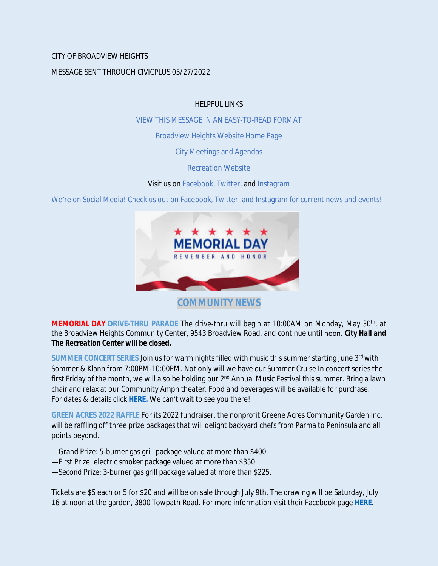# CITY OF BROADVIEW HEIGHTS

### MESSAGE SENT THROUGH CIVICPLUS 05/27/2022

### HELPFUL LINKS

[VIEW THIS MESSAGE IN AN EASY-TO-READ FORMAT](https://www.broadview-heights.org/Archive.aspx?AMID=37)

[Broadview Heights Website Home Page](https://www.broadview-heights.org/)

[City Meetings and Agendas](https://www.broadview-heights.org/1126/Agendas-Meeting-Minutes)

[Recreation Website](https://broadview-heights.org/292/Parks-Recreation)

Visit us on **Facebook**, [Twitter,](https://twitter.com/broadviewhts) and [Instagram](https://www.instagram.com/cityofbroadviewheights/)

We're on Social Media! Check us out on Facebook, Twitter, and Instagram for current news and events!



**COMMUNITY NEWS**

**MEMORIAL DAY DRIVE-THRU PARADE** The drive-thru will begin at 10:00AM on Monday, May 30th , at the Broadview Heights Community Center, 9543 Broadview Road, and continue until noon. *City Hall and The Recreation Center will be closed.*

**SUMMER CONCERT SERIES** Join us for warm nights filled with music this summer starting June 3rd with Sommer & Klann from 7:00PM-10:00PM. Not only will we have our Summer Cruise In concert series the first Friday of the month, we will also be holding our 2<sup>nd</sup> Annual Music Festival this summer. Bring a lawn chair and relax at our Community Amphitheater. Food and beverages will be available for purchase. For dates & details click **[HERE.](https://broadview-heights.org/ImageRepository/Document?documentId=9488)** We can't wait to see you there!

**GREEN ACRES 2022 RAFFLE** For its 2022 fundraiser, the nonprofit Greene Acres Community Garden Inc. will be raffling off three prize packages that will delight backyard chefs from Parma to Peninsula and all points beyond.

—Grand Prize: 5-burner gas grill package valued at more than \$400.

- —First Prize: electric smoker package valued at more than \$350.
- —Second Prize: 3-burner gas grill package valued at more than \$225.

Tickets are \$5 each or 5 for \$20 and will be on sale through July 9th. The drawing will be Saturday, July 16 at noon at the garden, 3800 Towpath Road. For more information visit their Facebook page **[HERE.](https://www.facebook.com/greeneacresCG/)**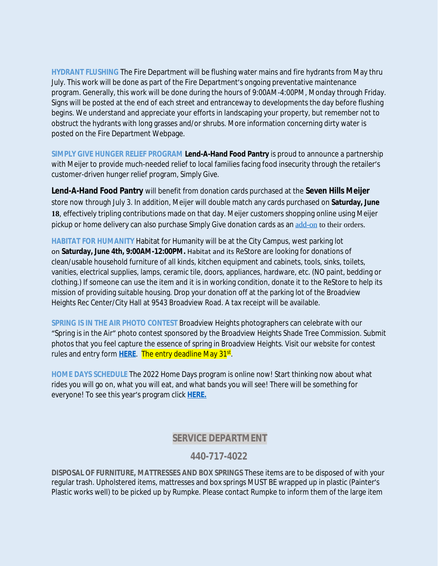**HYDRANT FLUSHING** The Fire Department will be flushing water mains and fire hydrants from May thru July. This work will be done as part of the Fire Department's ongoing preventative maintenance program. Generally, this work will be done during the hours of 9:00AM-4:00PM, Monday through Friday. Signs will be posted at the end of each street and entranceway to developments the day before flushing begins. We understand and appreciate your efforts in landscaping your property, but remember not to obstruct the hydrants with long grasses and/or shrubs. More information concerning dirty water is posted on the Fire Department Webpage.

**SIMPLY GIVE HUNGER RELIEF PROGRAM Lend-A-Hand Food Pantry** is proud to announce a partnership with Meijer to provide much-needed relief to local families facing food insecurity through the retailer's customer-driven hunger relief program, *Simply Give*.

**Lend-A-Hand Food Pantry** will benefit from donation cards purchased at the **Seven Hills Meijer** store now through July 3. In addition, Meijer will double match any cards purchased on **Saturday, June 18**, effectively tripling contributions made on that day. Meijer customers shopping online using Meijer pickup or home delivery can also purchase *Simply Give* donation cards as an [add-on](https://www.meijer.com/shopping/product/simply-give-10-food-pantry-donation/70882088231.html?icid=Redirect:SimplyGive) to their orders.

**HABITAT FOR HUMANITY** Habitat for Humanity will be at the City Campus, west parking lot on **Saturday, June 4th, 9:00AM-12:00PM.** Habitat and its ReStore are looking for donations of clean/usable household furniture of all kinds, kitchen equipment and cabinets, tools, sinks, toilets, vanities, electrical supplies, lamps, ceramic tile, doors, appliances, hardware, etc. (NO paint, bedding or clothing.) If someone can use the item and it is in working condition, donate it to the ReStore to help its mission of providing suitable housing. Drop your donation off at the parking lot of the Broadview Heights Rec Center/City Hall at 9543 Broadview Road. A tax receipt will be available.

**SPRING IS IN THE AIR PHOTO CONTEST** Broadview Heights photographers can celebrate with our "Spring is in the Air" photo contest sponsored by the Broadview Heights Shade Tree Commission. Submit photos that you feel capture the essence of spring in Broadview Heights. Visit our website for contest rules and entry form <mark>[HERE](https://broadview-heights.org/1524/Spring-Photo-Contest)</mark>. The entry deadline May 31<sup>st</sup>.

**HOME DAYS SCHEDULE** The 2022 Home Days program is online now! Start thinking now about what rides you will go on, what you will eat, and what bands you will see! There will be something for everyone! To see this year's program click **[HERE.](https://www.canva.com/design/DAE_rHLKtkA/AIFd_O5zMak0QjlSIEjVgQ/view?utm_content=DAE_rHLKtkA&utm_campaign=share_your_design&utm_medium=link&utm_source=shareyourdesignpanel%2311)**

# **SERVICE DEPARTMENT**

# **440-717-4022**

**DISPOSAL OF FURNITURE, MATTRESSES AND BOX SPRINGS** These items are to be disposed of with your regular trash. Upholstered items, mattresses and box springs MUST BE wrapped up in plastic (Painter's Plastic works well) to be picked up by Rumpke. Please contact Rumpke to inform them of the large item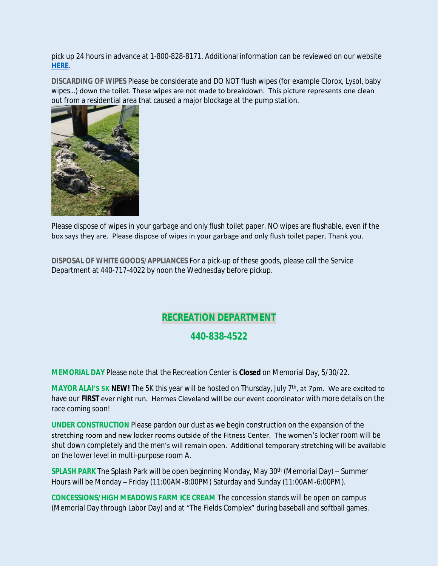pick up 24 hours in advance at 1-800-828-8171. Additional information can be reviewed on our website **[HERE](https://www.broadview-heights.org/1027/Garbage-Recycling)**.

**DISCARDING OF WIPES** Please be considerate and DO NOT flush wipes (for example Clorox, Lysol, baby wipes…) down the toilet. These wipes are not made to breakdown. This picture represents one clean out from a residential area that caused a major blockage at the pump station.



Please dispose of wipes in your garbage and only flush toilet paper. NO wipes are flushable, even if the box says they are. Please dispose of wipes in your garbage and only flush toilet paper. Thank you.

**DISPOSAL OF WHITE GOODS/APPLIANCES** For a pick-up of these goods, please call the Service Department at 440-717-4022 by noon the Wednesday before pickup.

# **RECREATION DEPARTMENT**

# **440-838-4522**

**MEMORIAL DAY** Please note that the Recreation Center is **Closed** on Memorial Day, 5/30/22.

**MAYOR ALAI'S 5K NEW!** The 5K this year will be hosted on Thursday, July 7<sup>th</sup>, at 7pm. We are excited to have our **FIRST** ever night run. Hermes Cleveland will be our event coordinator with more details on the race coming soon!

**UNDER CONSTRUCTION** Please pardon our dust as we begin construction on the expansion of the stretching room and new locker rooms outside of the Fitness Center. The women's locker room will be shut down completely and the men's will remain open. Additional temporary stretching will be available on the lower level in multi-purpose room A.

**SPLASH PARK** The Splash Park will be open beginning Monday, May 30<sup>th</sup> (Memorial Day) – Summer Hours will be Monday – Friday (11:00AM-8:00PM) Saturday and Sunday (11:00AM-6:00PM).

**CONCESSIONS/HIGH MEADOWS FARM ICE CREAM** The concession stands will be open on campus (Memorial Day through Labor Day) and at "The Fields Complex" during baseball and softball games.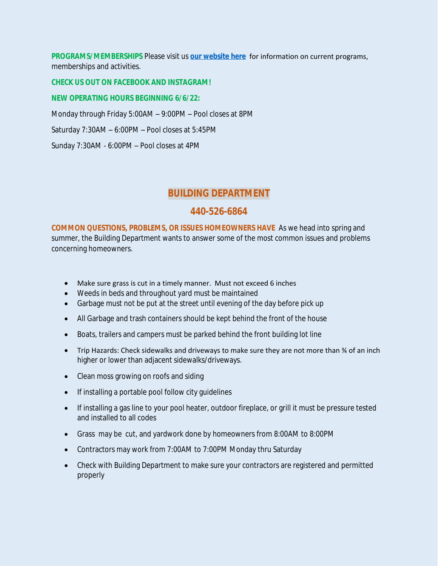**PROGRAMS/MEMBERSHIPS** Please visit us **[our website here](https://www.broadview-heights.org/292/Parks-Recreation)** for information on current programs, memberships and activities.

#### **CHECK US OUT ON FACEBOOK AND INSTAGRAM!**

#### **NEW OPERATING HOURS BEGINNING 6/6/22:**

Monday through Friday 5:00AM – 9:00PM – Pool closes at 8PM

Saturday 7:30AM – 6:00PM – Pool closes at 5:45PM

Sunday 7:30AM - 6:00PM – Pool closes at 4PM

## **BUILDING DEPARTMENT**

### **440-526-6864**

**COMMON QUESTIONS, PROBLEMS, OR ISSUES HOMEOWNERS HAVE** As we head into spring and summer, the Building Department wants to answer some of the most common issues and problems concerning homeowners.

- Make sure grass is cut in a timely manner. Must not exceed 6 inches
- Weeds in beds and throughout yard must be maintained
- Garbage must not be put at the street until evening of the day before pick up
- All Garbage and trash containers should be kept behind the front of the house
- Boats, trailers and campers must be parked behind the front building lot line
- Trip Hazards: Check sidewalks and driveways to make sure they are not more than  $\frac{3}{4}$  of an inch higher or lower than adjacent sidewalks/driveways.
- Clean moss growing on roofs and siding
- If installing a portable pool follow city guidelines
- If installing a gas line to your pool heater, outdoor fireplace, or grill it must be pressure tested and installed to all codes
- Grass may be cut, and yardwork done by homeowners from 8:00AM to 8:00PM
- Contractors may work from 7:00AM to 7:00PM Monday thru Saturday
- Check with Building Department to make sure your contractors are registered and permitted properly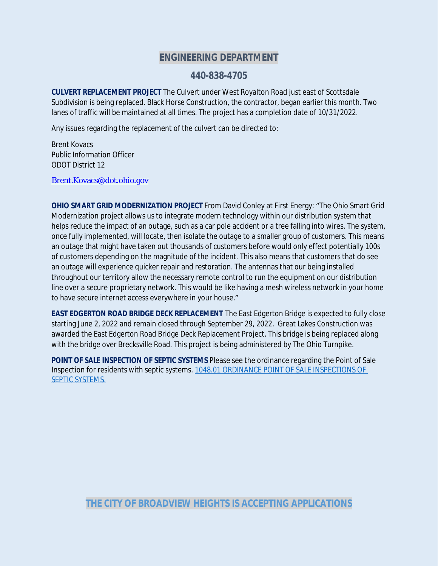## **ENGINEERING DEPARTMENT**

### **440-838-4705**

**CULVERT REPLACEMENT PROJECT** The Culvert under West Royalton Road just east of Scottsdale Subdivision is being replaced. Black Horse Construction, the contractor, began earlier this month. Two lanes of traffic will be maintained at all times. The project has a completion date of 10/31/2022.

Any issues regarding the replacement of the culvert can be directed to:

Brent Kovacs Public Information Officer ODOT District 12

[Brent.Kovacs@dot.ohio.gov](mailto:Brent.Kovacs@dot.ohio.gov)

**OHIO SMART GRID MODERNIZATION PROJECT** From David Conley at First Energy: "The Ohio Smart Grid Modernization project allows us to integrate modern technology within our distribution system that helps reduce the impact of an outage, such as a car pole accident or a tree falling into wires. The system, once fully implemented, will locate, then isolate the outage to a smaller group of customers. This means an outage that might have taken out thousands of customers before would only effect potentially 100s of customers depending on the magnitude of the incident. This also means that customers that do see an outage will experience quicker repair and restoration. The antennas that our being installed throughout our territory allow the necessary remote control to run the equipment on our distribution line over a secure proprietary network. This would be like having a mesh wireless network in your home to have secure internet access everywhere in your house."

**EAST EDGERTON ROAD BRIDGE DECK REPLACEMENT** The East Edgerton Bridge is expected to fully close starting June 2, 2022 and remain closed through September 29, 2022. Great Lakes Construction was awarded the East Edgerton Road Bridge Deck Replacement Project. This bridge is being replaced along with the bridge over Brecksville Road. This project is being administered by The Ohio Turnpike.

**POINT OF SALE INSPECTION OF SEPTIC SYSTEMS** Please see the ordinance regarding the Point of Sale Inspection for residents with septic systems. [1048.01 ORDINANCE POINT OF SALE INSPECTIONS OF](https://codelibrary.amlegal.com/codes/broadviewhts/latest/broadview_oh/0-0-0-13398)  SEPTIC SYSTEMS.

**THE CITY OF BROADVIEW HEIGHTS IS ACCEPTING APPLICATIONS**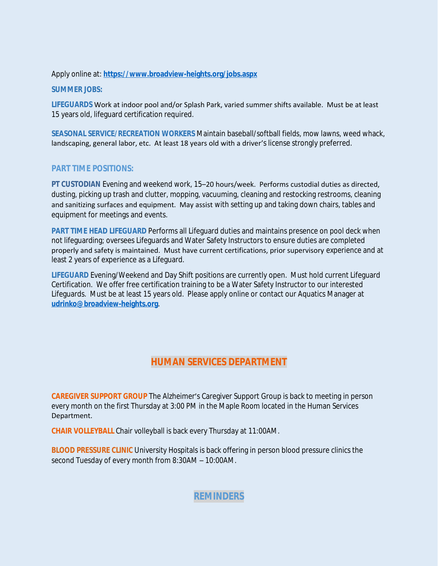#### Apply online at: **<https://www.broadview-heights.org/jobs.aspx>**

**SUMMER JOBS:** 

**LIFEGUARDS** Work at indoor pool and/or Splash Park, varied summer shifts available. Must be at least 15 years old, lifeguard certification required.

**SEASONAL SERVICE/RECREATION WORKERS** Maintain baseball/softball fields, mow lawns, weed whack, landscaping, general labor, etc. At least 18 years old with a driver's license strongly preferred.

### **PART TIME POSITIONS:**

**PT CUSTODIAN** Evening and weekend work, 15–20 hours/week. Performs custodial duties as directed, dusting, picking up trash and clutter, mopping, vacuuming, cleaning and restocking restrooms, cleaning and sanitizing surfaces and equipment. May assist with setting up and taking down chairs, tables and equipment for meetings and events.

**PART TIME HEAD LIFEGUARD** Performs all Lifeguard duties and maintains presence on pool deck when not lifeguarding; oversees Lifeguards and Water Safety Instructors to ensure duties are completed properly and safety is maintained. Must have current certifications, prior supervisory experience and at least 2 years of experience as a Lifeguard.

**LIFEGUARD** Evening/Weekend and Day Shift positions are currently open. Must hold current Lifeguard Certification. We offer free certification training to be a Water Safety Instructor to our interested Lifeguards. Must be at least 15 years old. Please apply online or contact our Aquatics Manager at **[udrinko@broadview-heights.org](mailto:udrinko@broadview-heights.org)**.

# **HUMAN SERVICES DEPARTMENT**

**CAREGIVER SUPPORT GROUP** The Alzheimer's Caregiver Support Group is back to meeting in person every month on the first Thursday at 3:00 PM in the Maple Room located in the Human Services Department.

**CHAIR VOLLEYBALL** Chair volleyball is back every Thursday at 11:00AM.

**BLOOD PRESSURE CLINIC** University Hospitals is back offering in person blood pressure clinics the second Tuesday of every month from 8:30AM – 10:00AM.

**REMINDERS**